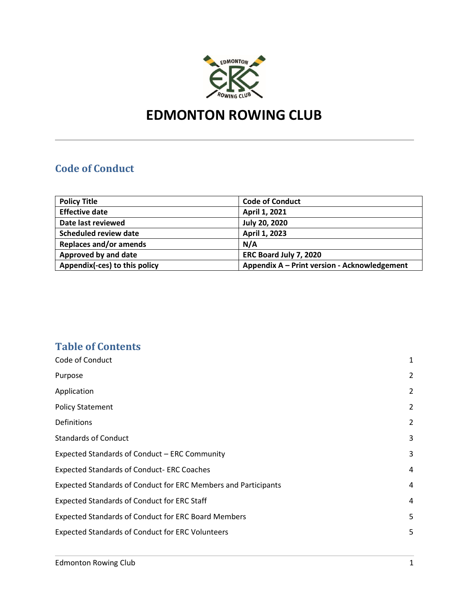

# **EDMONTON ROWING CLUB**

# <span id="page-0-0"></span>**Code of Conduct**

| <b>Policy Title</b>           | <b>Code of Conduct</b>                       |
|-------------------------------|----------------------------------------------|
| <b>Effective date</b>         | April 1, 2021                                |
| Date last reviewed            | <b>July 20, 2020</b>                         |
| <b>Scheduled review date</b>  | April 1, 2023                                |
| <b>Replaces and/or amends</b> | N/A                                          |
| Approved by and date          | ERC Board July 7, 2020                       |
| Appendix(-ces) to this policy | Appendix A - Print version - Acknowledgement |

# **Table of Contents**

| Code of Conduct                                                       | 1              |
|-----------------------------------------------------------------------|----------------|
| Purpose                                                               | $\overline{2}$ |
| Application                                                           | 2              |
| <b>Policy Statement</b>                                               | 2              |
| Definitions                                                           | 2              |
| <b>Standards of Conduct</b>                                           | 3              |
| Expected Standards of Conduct - ERC Community                         | 3              |
| <b>Expected Standards of Conduct- ERC Coaches</b>                     | $\overline{4}$ |
| <b>Expected Standards of Conduct for ERC Members and Participants</b> | $\overline{4}$ |
| <b>Expected Standards of Conduct for ERC Staff</b>                    | 4              |
| <b>Expected Standards of Conduct for ERC Board Members</b>            | 5              |
| <b>Expected Standards of Conduct for ERC Volunteers</b>               | 5              |
|                                                                       |                |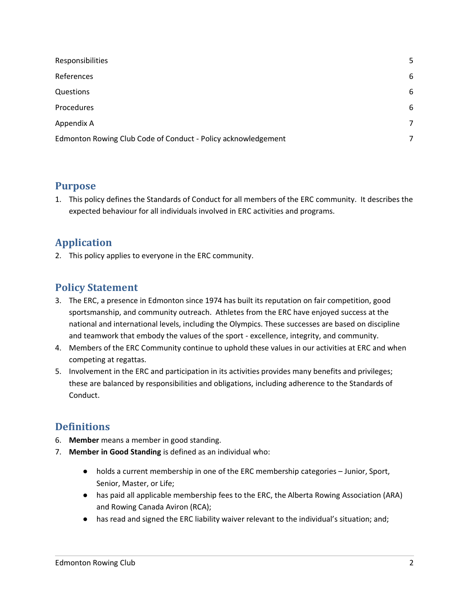| Responsibilities                                              | 5 |
|---------------------------------------------------------------|---|
| References                                                    | 6 |
| Questions                                                     | 6 |
| Procedures                                                    | 6 |
| Appendix A                                                    | 7 |
| Edmonton Rowing Club Code of Conduct - Policy acknowledgement | 7 |

#### <span id="page-1-0"></span>**Purpose**

1. This policy defines the Standards of Conduct for all members of the ERC community. It describes the expected behaviour for all individuals involved in ERC activities and programs.

## <span id="page-1-1"></span>**Application**

2. This policy applies to everyone in the ERC community.

#### <span id="page-1-2"></span>**Policy Statement**

- 3. The ERC, a presence in Edmonton since 1974 has built its reputation on fair competition, good sportsmanship, and community outreach. Athletes from the ERC have enjoyed success at the national and international levels, including the Olympics. These successes are based on discipline and teamwork that embody the values of the sport - excellence, integrity, and community.
- 4. Members of the ERC Community continue to uphold these values in our activities at ERC and when competing at regattas.
- 5. Involvement in the ERC and participation in its activities provides many benefits and privileges; these are balanced by responsibilities and obligations, including adherence to the Standards of Conduct.

## <span id="page-1-3"></span>**Definitions**

- 6. **Member** means a member in good standing.
- 7. **Member in Good Standing** is defined as an individual who:
	- holds a current membership in one of the ERC membership categories Junior, Sport, Senior, Master, or Life;
	- has paid all applicable membership fees to the ERC, the Alberta Rowing Association (ARA) and Rowing Canada Aviron (RCA);
	- has read and signed the ERC liability waiver relevant to the individual's situation; and;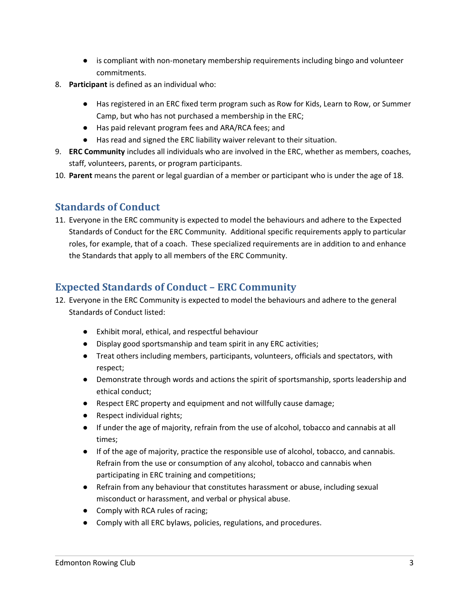- is compliant with non-monetary membership requirements including bingo and volunteer commitments.
- 8. **Participant** is defined as an individual who:
	- Has registered in an ERC fixed term program such as Row for Kids, Learn to Row, or Summer Camp, but who has not purchased a membership in the ERC;
	- Has paid relevant program fees and ARA/RCA fees; and
	- Has read and signed the ERC liability waiver relevant to their situation.
- 9. **ERC Community** includes all individuals who are involved in the ERC, whether as members, coaches, staff, volunteers, parents, or program participants.
- 10. **Parent** means the parent or legal guardian of a member or participant who is under the age of 18.

# <span id="page-2-0"></span>**Standards of Conduct**

11. Everyone in the ERC community is expected to model the behaviours and adhere to the Expected Standards of Conduct for the ERC Community. Additional specific requirements apply to particular roles, for example, that of a coach. These specialized requirements are in addition to and enhance the Standards that apply to all members of the ERC Community.

# <span id="page-2-1"></span>**Expected Standards of Conduct – ERC Community**

- 12. Everyone in the ERC Community is expected to model the behaviours and adhere to the general Standards of Conduct listed:
	- Exhibit moral, ethical, and respectful behaviour
	- Display good sportsmanship and team spirit in any ERC activities;
	- Treat others including members, participants, volunteers, officials and spectators, with respect;
	- Demonstrate through words and actions the spirit of sportsmanship, sports leadership and ethical conduct;
	- Respect ERC property and equipment and not willfully cause damage;
	- Respect individual rights;
	- If under the age of majority, refrain from the use of alcohol, tobacco and cannabis at all times;
	- If of the age of majority, practice the responsible use of alcohol, tobacco, and cannabis. Refrain from the use or consumption of any alcohol, tobacco and cannabis when participating in ERC training and competitions;
	- Refrain from any behaviour that constitutes harassment or abuse, including sexual misconduct or harassment, and verbal or physical abuse.
	- Comply with RCA rules of racing;
	- Comply with all ERC bylaws, policies, regulations, and procedures.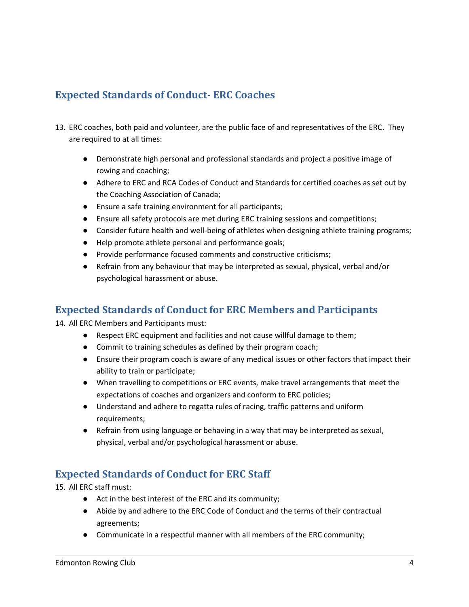# <span id="page-3-0"></span>**Expected Standards of Conduct- ERC Coaches**

- 13. ERC coaches, both paid and volunteer, are the public face of and representatives of the ERC. They are required to at all times:
	- Demonstrate high personal and professional standards and project a positive image of rowing and coaching;
	- Adhere to ERC and RCA Codes of Conduct and Standards for certified coaches as set out by the Coaching Association of Canada;
	- Ensure a safe training environment for all participants;
	- Ensure all safety protocols are met during ERC training sessions and competitions;
	- Consider future health and well-being of athletes when designing athlete training programs;
	- Help promote athlete personal and performance goals;
	- Provide performance focused comments and constructive criticisms;
	- Refrain from any behaviour that may be interpreted as sexual, physical, verbal and/or psychological harassment or abuse.

#### <span id="page-3-1"></span>**Expected Standards of Conduct for ERC Members and Participants**

14. All ERC Members and Participants must:

- Respect ERC equipment and facilities and not cause willful damage to them;
- Commit to training schedules as defined by their program coach;
- Ensure their program coach is aware of any medical issues or other factors that impact their ability to train or participate;
- When travelling to competitions or ERC events, make travel arrangements that meet the expectations of coaches and organizers and conform to ERC policies;
- Understand and adhere to regatta rules of racing, traffic patterns and uniform requirements;
- Refrain from using language or behaving in a way that may be interpreted as sexual, physical, verbal and/or psychological harassment or abuse.

## <span id="page-3-2"></span>**Expected Standards of Conduct for ERC Staff**

15. All ERC staff must:

- Act in the best interest of the ERC and its community;
- Abide by and adhere to the ERC Code of Conduct and the terms of their contractual agreements;
- Communicate in a respectful manner with all members of the ERC community;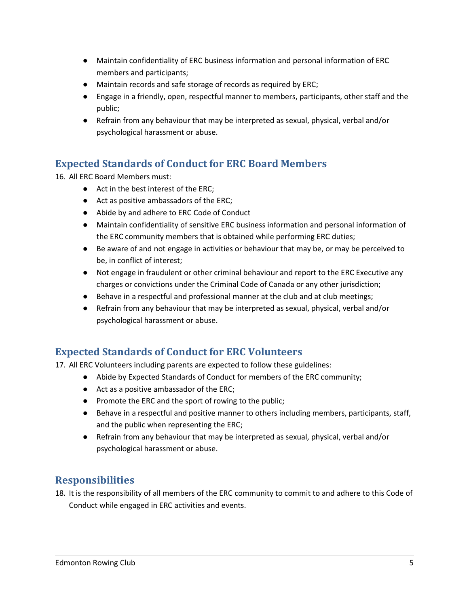- Maintain confidentiality of ERC business information and personal information of ERC members and participants;
- Maintain records and safe storage of records as required by ERC;
- Engage in a friendly, open, respectful manner to members, participants, other staff and the public;
- Refrain from any behaviour that may be interpreted as sexual, physical, verbal and/or psychological harassment or abuse.

# <span id="page-4-0"></span>**Expected Standards of Conduct for ERC Board Members**

16. All ERC Board Members must:

- Act in the best interest of the ERC:
- Act as positive ambassadors of the ERC;
- Abide by and adhere to ERC Code of Conduct
- Maintain confidentiality of sensitive ERC business information and personal information of the ERC community members that is obtained while performing ERC duties;
- Be aware of and not engage in activities or behaviour that may be, or may be perceived to be, in conflict of interest;
- Not engage in fraudulent or other criminal behaviour and report to the ERC Executive any charges or convictions under the Criminal Code of Canada or any other jurisdiction;
- Behave in a respectful and professional manner at the club and at club meetings;
- Refrain from any behaviour that may be interpreted as sexual, physical, verbal and/or psychological harassment or abuse.

## <span id="page-4-1"></span>**Expected Standards of Conduct for ERC Volunteers**

17. All ERC Volunteers including parents are expected to follow these guidelines:

- Abide by Expected Standards of Conduct for members of the ERC community;
- Act as a positive ambassador of the ERC;
- Promote the ERC and the sport of rowing to the public;
- Behave in a respectful and positive manner to others including members, participants, staff, and the public when representing the ERC;
- Refrain from any behaviour that may be interpreted as sexual, physical, verbal and/or psychological harassment or abuse.

## <span id="page-4-2"></span>**Responsibilities**

18. It is the responsibility of all members of the ERC community to commit to and adhere to this Code of Conduct while engaged in ERC activities and events.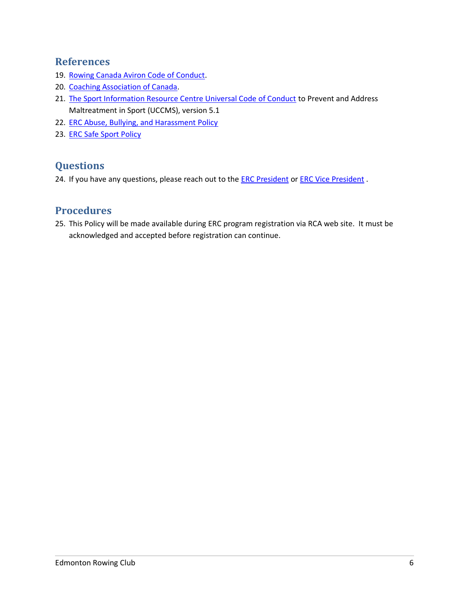#### <span id="page-5-0"></span>**References**

- 19. [Rowing Canada Aviron Code of Conduct.](https://rowingcanada.org/uploads/2019/02/code_of_conduct_rca.pdf)
- 20. [Coaching Association of Canada.](https://coach.ca/national-coaching-certificate-program)
- 21. [The Sport Information Resource Centre Universal Code of Conduct](https://sirc.ca/app/uploads/2020/01/UCCMS-v5.1-Distribution-to-NSOs-MSOs-FINAL.pdf) to Prevent and Address Maltreatment in Sport (UCCMS), version 5.1
- 22. [ERC Abuse, Bullying, and Harassment Policy](https://edmontonrowing.ca/wp-content/uploads/2020/10/ERC-ABH-Policy-and-Procedures.pdf)
- 23. [ERC Safe Sport Policy](https://edmontonrowing.ca/wp-content/uploads/2020/10/ERC-Safe-Sport-Policy.pdf)

## <span id="page-5-1"></span>**Questions**

24. If you have any questions, please reach out to the **ERC President** or **ERC Vice President**.

#### <span id="page-5-2"></span>**Procedures**

25. This Policy will be made available during ERC program registration via RCA web site. It must be acknowledged and accepted before registration can continue.